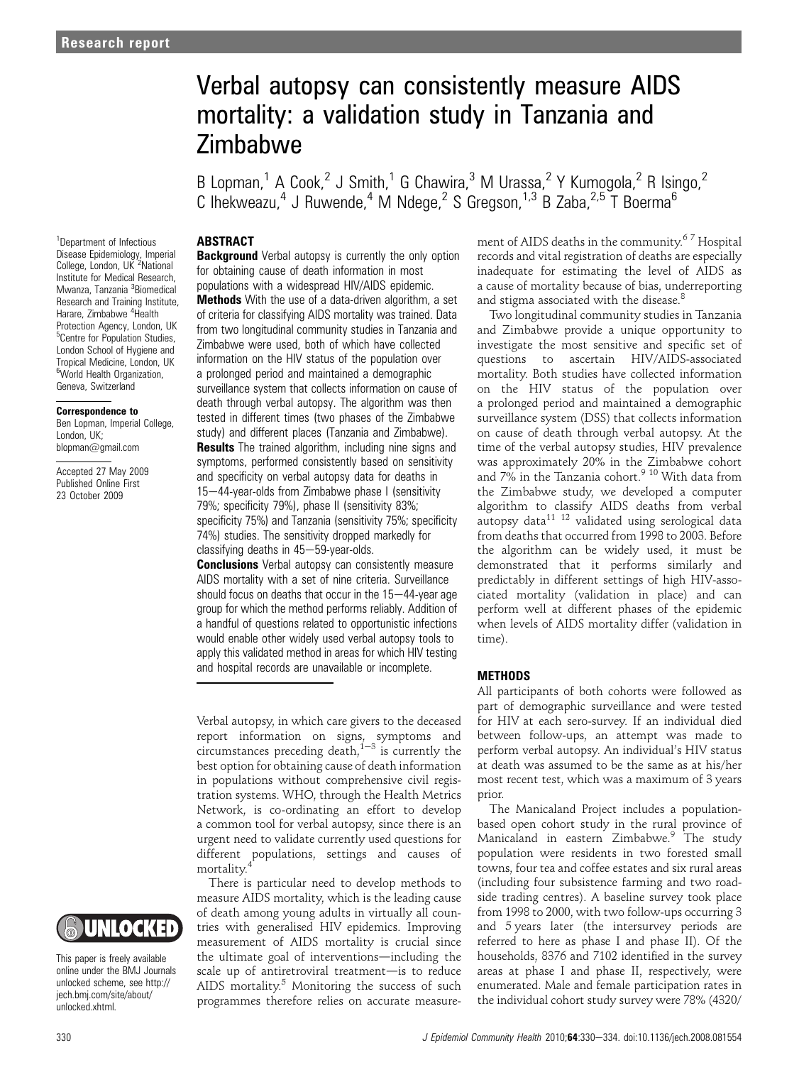# Verbal autopsy can consistently measure AIDS mortality: a validation study in Tanzania and Zimbabwe

B Lopman,<sup>1</sup> A Cook,<sup>2</sup> J Smith,<sup>1</sup> G Chawira,<sup>3</sup> M Urassa,<sup>2</sup> Y Kumogola,<sup>2</sup> R Isingo,<sup>2</sup> C Ihekweazu,<sup>4</sup> J Ruwende,<sup>4</sup> M Ndege,<sup>2</sup> S Gregson,<sup>1,3</sup> B Zaba,<sup>2,5</sup> T Boerma<sup>6</sup>

## **ABSTRACT**

1 Department of Infectious Disease Epidemiology, Imperial College, London, UK<sup>2</sup>National Institute for Medical Research, Mwanza, Tanzania <sup>3</sup>Biomedical Research and Training Institute, Harare, Zimbabwe <sup>4</sup>Health Protection Agency, London, UK <sup>5</sup>Centre for Population Studies, London School of Hygiene and Tropical Medicine, London, UK <sup>6</sup>World Health Organization, Geneva, Switzerland

#### Correspondence to

Ben Lopman, Imperial College, London, UK; blopman@gmail.com

Accepted 27 May 2009 Published Online First 23 October 2009

**Background** Verbal autopsy is currently the only option for obtaining cause of death information in most populations with a widespread HIV/AIDS epidemic. **Methods** With the use of a data-driven algorithm, a set of criteria for classifying AIDS mortality was trained. Data from two longitudinal community studies in Tanzania and Zimbabwe were used, both of which have collected information on the HIV status of the population over a prolonged period and maintained a demographic surveillance system that collects information on cause of death through verbal autopsy. The algorithm was then tested in different times (two phases of the Zimbabwe study) and different places (Tanzania and Zimbabwe). **Results** The trained algorithm, including nine signs and symptoms, performed consistently based on sensitivity and specificity on verbal autopsy data for deaths in 15-44-year-olds from Zimbabwe phase I (sensitivity 79%; specificity 79%), phase II (sensitivity 83%; specificity 75%) and Tanzania (sensitivity 75%; specificity 74%) studies. The sensitivity dropped markedly for  $classifying$  deaths in  $45-59$ -year-olds.

**Conclusions** Verbal autopsy can consistently measure AIDS mortality with a set of nine criteria. Surveillance should focus on deaths that occur in the 15-44-year age group for which the method performs reliably. Addition of a handful of questions related to opportunistic infections would enable other widely used verbal autopsy tools to apply this validated method in areas for which HIV testing and hospital records are unavailable or incomplete.

Verbal autopsy, in which care givers to the deceased report information on signs, symptoms and<br>circumstances preceding death,  $1-3$  is currently the best option for obtaining cause of death information in populations without comprehensive civil registration systems. WHO, through the Health Metrics Network, is co-ordinating an effort to develop a common tool for verbal autopsy, since there is an urgent need to validate currently used questions for different populations, settings and causes of mortality.<sup>4</sup>

There is particular need to develop methods to measure AIDS mortality, which is the leading cause of death among young adults in virtually all countries with generalised HIV epidemics. Improving measurement of AIDS mortality is crucial since the ultimate goal of interventions—including the scale up of antiretroviral treatment-is to reduce AIDS mortality.<sup>5</sup> Monitoring the success of such programmes therefore relies on accurate measurement of AIDS deaths in the community.6 7 Hospital records and vital registration of deaths are especially inadequate for estimating the level of AIDS as a cause of mortality because of bias, underreporting and stigma associated with the disease.<sup>8</sup>

Two longitudinal community studies in Tanzania and Zimbabwe provide a unique opportunity to investigate the most sensitive and specific set of questions to ascertain HIV/AIDS-associated mortality. Both studies have collected information on the HIV status of the population over a prolonged period and maintained a demographic surveillance system (DSS) that collects information on cause of death through verbal autopsy. At the time of the verbal autopsy studies, HIV prevalence was approximately 20% in the Zimbabwe cohort and 7% in the Tanzania cohort.<sup>9 10</sup> With data from the Zimbabwe study, we developed a computer algorithm to classify AIDS deaths from verbal autopsy data $^{11}$   $^{12}$  validated using serological data from deaths that occurred from 1998 to 2003. Before the algorithm can be widely used, it must be demonstrated that it performs similarly and predictably in different settings of high HIV-associated mortality (validation in place) and can perform well at different phases of the epidemic when levels of AIDS mortality differ (validation in time).

## METHODS

All participants of both cohorts were followed as part of demographic surveillance and were tested for HIV at each sero-survey. If an individual died between follow-ups, an attempt was made to perform verbal autopsy. An individual's HIV status at death was assumed to be the same as at his/her most recent test, which was a maximum of 3 years prior.

The Manicaland Project includes a populationbased open cohort study in the rural province of Manicaland in eastern Zimbabwe.<sup>9</sup> The study population were residents in two forested small towns, four tea and coffee estates and six rural areas (including four subsistence farming and two roadside trading centres). A baseline survey took place from 1998 to 2000, with two follow-ups occurring 3 and 5 years later (the intersurvey periods are referred to here as phase I and phase II). Of the households, 8376 and 7102 identified in the survey areas at phase I and phase II, respectively, were enumerated. Male and female participation rates in the individual cohort study survey were 78% (4320/



This paper is freely available online under the BMJ Journals unlocked scheme, see http:// jech.bmj.com/site/about/ unlocked.xhtml.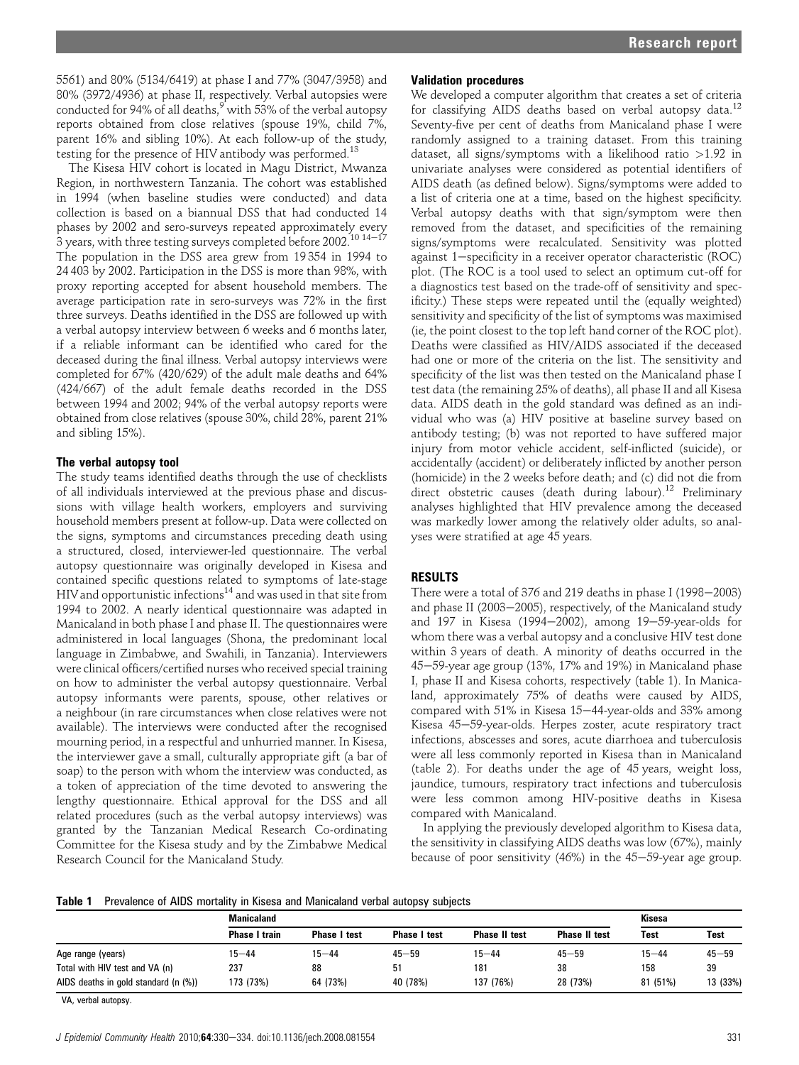5561) and 80% (5134/6419) at phase I and 77% (3047/3958) and 80% (3972/4936) at phase II, respectively. Verbal autopsies were conducted for 94% of all deaths, with 53% of the verbal autopsy reports obtained from close relatives (spouse 19%, child 7%, parent 16% and sibling 10%). At each follow-up of the study, testing for the presence of HIV antibody was performed.<sup>13</sup>

The Kisesa HIV cohort is located in Magu District, Mwanza Region, in northwestern Tanzania. The cohort was established in 1994 (when baseline studies were conducted) and data collection is based on a biannual DSS that had conducted 14 phases by 2002 and sero-surveys repeated approximately every 3 years, with three testing surveys completed before 2002.<sup>10 14-17</sup> The population in the DSS area grew from 19 354 in 1994 to 24 403 by 2002. Participation in the DSS is more than 98%, with proxy reporting accepted for absent household members. The average participation rate in sero-surveys was 72% in the first three surveys. Deaths identified in the DSS are followed up with a verbal autopsy interview between 6 weeks and 6 months later, if a reliable informant can be identified who cared for the deceased during the final illness. Verbal autopsy interviews were completed for 67% (420/629) of the adult male deaths and 64% (424/667) of the adult female deaths recorded in the DSS between 1994 and 2002; 94% of the verbal autopsy reports were obtained from close relatives (spouse 30%, child 28%, parent 21% and sibling 15%).

## The verbal autopsy tool

The study teams identified deaths through the use of checklists of all individuals interviewed at the previous phase and discussions with village health workers, employers and surviving household members present at follow-up. Data were collected on the signs, symptoms and circumstances preceding death using a structured, closed, interviewer-led questionnaire. The verbal autopsy questionnaire was originally developed in Kisesa and contained specific questions related to symptoms of late-stage HIV and opportunistic infections $^{14}$  and was used in that site from 1994 to 2002. A nearly identical questionnaire was adapted in Manicaland in both phase I and phase II. The questionnaires were administered in local languages (Shona, the predominant local language in Zimbabwe, and Swahili, in Tanzania). Interviewers were clinical officers/certified nurses who received special training on how to administer the verbal autopsy questionnaire. Verbal autopsy informants were parents, spouse, other relatives or a neighbour (in rare circumstances when close relatives were not available). The interviews were conducted after the recognised mourning period, in a respectful and unhurried manner. In Kisesa, the interviewer gave a small, culturally appropriate gift (a bar of soap) to the person with whom the interview was conducted, as a token of appreciation of the time devoted to answering the lengthy questionnaire. Ethical approval for the DSS and all related procedures (such as the verbal autopsy interviews) was granted by the Tanzanian Medical Research Co-ordinating Committee for the Kisesa study and by the Zimbabwe Medical Research Council for the Manicaland Study.

## Validation procedures

We developed a computer algorithm that creates a set of criteria for classifying AIDS deaths based on verbal autopsy data.<sup>12</sup> Seventy-five per cent of deaths from Manicaland phase I were randomly assigned to a training dataset. From this training dataset, all signs/symptoms with a likelihood ratio >1.92 in univariate analyses were considered as potential identifiers of AIDS death (as defined below). Signs/symptoms were added to a list of criteria one at a time, based on the highest specificity. Verbal autopsy deaths with that sign/symptom were then removed from the dataset, and specificities of the remaining signs/symptoms were recalculated. Sensitivity was plotted against 1-specificity in a receiver operator characteristic (ROC) plot. (The ROC is a tool used to select an optimum cut-off for a diagnostics test based on the trade-off of sensitivity and specificity.) These steps were repeated until the (equally weighted) sensitivity and specificity of the list of symptoms was maximised (ie, the point closest to the top left hand corner of the ROC plot). Deaths were classified as HIV/AIDS associated if the deceased had one or more of the criteria on the list. The sensitivity and specificity of the list was then tested on the Manicaland phase I test data (the remaining 25% of deaths), all phase II and all Kisesa data. AIDS death in the gold standard was defined as an individual who was (a) HIV positive at baseline survey based on antibody testing; (b) was not reported to have suffered major injury from motor vehicle accident, self-inflicted (suicide), or accidentally (accident) or deliberately inflicted by another person (homicide) in the 2 weeks before death; and (c) did not die from direct obstetric causes (death during labour).<sup>12</sup> Preliminary analyses highlighted that HIV prevalence among the deceased was markedly lower among the relatively older adults, so analyses were stratified at age 45 years.

## RESULTS

There were a total of  $376$  and  $219$  deaths in phase I (1998–2003) and phase II (2003-2005), respectively, of the Manicaland study and 197 in Kisesa (1994-2002), among 19-59-year-olds for whom there was a verbal autopsy and a conclusive HIV test done within 3 years of death. A minority of deaths occurred in the 45–59-year age group (13%, 17% and 19%) in Manicaland phase I, phase II and Kisesa cohorts, respectively (table 1). In Manicaland, approximately 75% of deaths were caused by AIDS, compared with 51% in Kisesa 15-44-year-olds and 33% among Kisesa 45-59-year-olds. Herpes zoster, acute respiratory tract infections, abscesses and sores, acute diarrhoea and tuberculosis were all less commonly reported in Kisesa than in Manicaland (table 2). For deaths under the age of 45 years, weight loss, jaundice, tumours, respiratory tract infections and tuberculosis were less common among HIV-positive deaths in Kisesa compared with Manicaland.

In applying the previously developed algorithm to Kisesa data, the sensitivity in classifying AIDS deaths was low (67%), mainly because of poor sensitivity  $(46%)$  in the  $45-59$ -year age group.

**Table 1** Prevalence of AIDS mortality in Kisesa and Manicaland verbal autopsy subjects

|                                      | <b>Manicaland</b>    | Kisesa              |                     |                      |                      |             |           |
|--------------------------------------|----------------------|---------------------|---------------------|----------------------|----------------------|-------------|-----------|
|                                      | <b>Phase I train</b> | <b>Phase I test</b> | <b>Phase I test</b> | <b>Phase II test</b> | <b>Phase II test</b> | <b>Test</b> | Test      |
| Age range (years)                    | $15 - 44$            | $15 - 44$           | $45 - 59$           | $15 - 44$            | $45 - 59$            | $15 - 44$   | $45 - 59$ |
| Total with HIV test and VA (n)       | 237                  | 88                  | 51                  | 181                  | 38                   | 158         | 39        |
| AIDS deaths in gold standard (n (%)) | 173 (73%)            | 64 (73%)            | 40 (78%)            | 137 (76%)            | 28 (73%)             | 81 (51%)    | 13 (33%)  |

VA, verbal autopsy.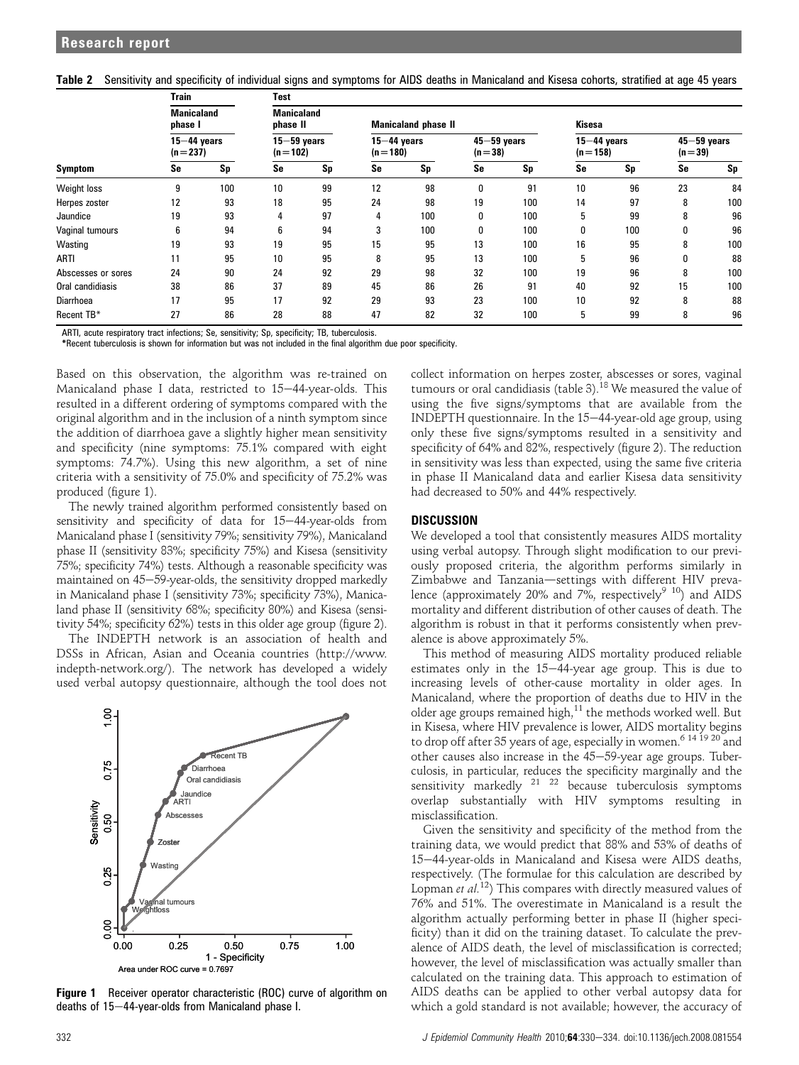|  |  |  |  | Table 2 Sensitivity and specificity of individual signs and symptoms for AIDS deaths in Manicaland and Kisesa cohorts, stratified at age 45 years |  |  |
|--|--|--|--|---------------------------------------------------------------------------------------------------------------------------------------------------|--|--|
|--|--|--|--|---------------------------------------------------------------------------------------------------------------------------------------------------|--|--|

|                    | <b>Train</b>                 |     | <b>Test</b>                                                 |    |                              |     |                             |     |                              |     |                             |     |
|--------------------|------------------------------|-----|-------------------------------------------------------------|----|------------------------------|-----|-----------------------------|-----|------------------------------|-----|-----------------------------|-----|
| <b>Symptom</b>     | <b>Manicaland</b><br>phase I |     | <b>Manicaland</b><br>phase II<br><b>Manicaland phase II</b> |    |                              |     |                             |     | <b>Kisesa</b>                |     |                             |     |
|                    | $15 - 44$ years<br>$(n=237)$ |     | $15 - 59$ years<br>$(n=102)$                                |    | $15 - 44$ years<br>$(n=180)$ |     | $45 - 59$ years<br>$(n=38)$ |     | $15 - 44$ years<br>$(n=158)$ |     | $45 - 59$ years<br>$(n=39)$ |     |
|                    | Se                           | Sp  | Se                                                          | Sp | Se                           | Sp  | Se                          | Sp  | Se                           | Sp  | Se                          | Sp  |
| Weight loss        | g                            | 100 | 10                                                          | 99 | 12                           | 98  | 0                           | 91  | 10                           | 96  | 23                          | 84  |
| Herpes zoster      | 12                           | 93  | 18                                                          | 95 | 24                           | 98  | 19                          | 100 | 14                           | 97  | 8                           | 100 |
| Jaundice           | 19                           | 93  | 4                                                           | 97 | 4                            | 100 | 0                           | 100 | 5                            | 99  | 8                           | 96  |
| Vaginal tumours    | ĥ                            | 94  | 6                                                           | 94 | 3                            | 100 | 0                           | 100 | 0                            | 100 | 0                           | 96  |
| Wasting            | 19                           | 93  | 19                                                          | 95 | 15                           | 95  | 13                          | 100 | 16                           | 95  | 8                           | 100 |
| ARTI               | 11                           | 95  | 10                                                          | 95 | 8                            | 95  | 13                          | 100 | 5                            | 96  | 0                           | 88  |
| Abscesses or sores | 24                           | 90  | 24                                                          | 92 | 29                           | 98  | 32                          | 100 | 19                           | 96  | 8                           | 100 |
| Oral candidiasis   | 38                           | 86  | 37                                                          | 89 | 45                           | 86  | 26                          | 91  | 40                           | 92  | 15                          | 100 |
| <b>Diarrhoea</b>   | 17                           | 95  | 17                                                          | 92 | 29                           | 93  | 23                          | 100 | 10                           | 92  | 8                           | 88  |
| Recent TB*         | 27                           | 86  | 28                                                          | 88 | 47                           | 82  | 32                          | 100 | 5                            | 99  | 8                           | 96  |

ARTI, acute respiratory tract infections; Se, sensitivity; Sp, specificity; TB, tuberculosis.

\*Recent tuberculosis is shown for information but was not included in the final algorithm due poor specificity.

Based on this observation, the algorithm was re-trained on Manicaland phase I data, restricted to  $15-44$ -year-olds. This resulted in a different ordering of symptoms compared with the original algorithm and in the inclusion of a ninth symptom since the addition of diarrhoea gave a slightly higher mean sensitivity and specificity (nine symptoms: 75.1% compared with eight symptoms: 74.7%). Using this new algorithm, a set of nine criteria with a sensitivity of 75.0% and specificity of 75.2% was produced (figure 1).

The newly trained algorithm performed consistently based on sensitivity and specificity of data for  $15-44$ -year-olds from Manicaland phase I (sensitivity 79%; sensitivity 79%), Manicaland phase II (sensitivity 83%; specificity 75%) and Kisesa (sensitivity 75%; specificity 74%) tests. Although a reasonable specificity was maintained on 45-59-year-olds, the sensitivity dropped markedly in Manicaland phase I (sensitivity 73%; specificity 73%), Manicaland phase II (sensitivity 68%; specificity 80%) and Kisesa (sensitivity 54%; specificity 62%) tests in this older age group (figure 2).

The INDEPTH network is an association of health and DSSs in African, Asian and Oceania countries (http://www. indepth-network.org/). The network has developed a widely used verbal autopsy questionnaire, although the tool does not



**Figure 1** Receiver operator characteristic (ROC) curve of algorithm on deaths of  $15-44$ -year-olds from Manicaland phase I.

collect information on herpes zoster, abscesses or sores, vaginal tumours or oral candidiasis (table 3).<sup>18</sup> We measured the value of using the five signs/symptoms that are available from the INDEPTH questionnaire. In the  $15-44$ -year-old age group, using only these five signs/symptoms resulted in a sensitivity and specificity of 64% and 82%, respectively (figure 2). The reduction in sensitivity was less than expected, using the same five criteria in phase II Manicaland data and earlier Kisesa data sensitivity had decreased to 50% and 44% respectively.

## **DISCUSSION**

We developed a tool that consistently measures AIDS mortality using verbal autopsy. Through slight modification to our previously proposed criteria, the algorithm performs similarly in Zimbabwe and Tanzania-settings with different HIV prevalence (approximately 20% and 7%, respectively<sup>9 10</sup>) and AIDS mortality and different distribution of other causes of death. The algorithm is robust in that it performs consistently when prevalence is above approximately 5%.

This method of measuring AIDS mortality produced reliable estimates only in the  $15-44$ -year age group. This is due to increasing levels of other-cause mortality in older ages. In Manicaland, where the proportion of deaths due to HIV in the older age groups remained high, $^{11}$  the methods worked well. But in Kisesa, where HIV prevalence is lower, AIDS mortality begins to drop off after 35 years of age, especially in women.<sup>6 14 19 20</sup> and other causes also increase in the 45-59-year age groups. Tuberculosis, in particular, reduces the specificity marginally and the sensitivity markedly  $21 \t22$  because tuberculosis symptoms overlap substantially with HIV symptoms resulting in misclassification.

Given the sensitivity and specificity of the method from the training data, we would predict that 88% and 53% of deaths of 15-44-year-olds in Manicaland and Kisesa were AIDS deaths, respectively. (The formulae for this calculation are described by Lopman et  $al$ <sup>12</sup>) This compares with directly measured values of 76% and 51%. The overestimate in Manicaland is a result the algorithm actually performing better in phase II (higher specificity) than it did on the training dataset. To calculate the prevalence of AIDS death, the level of misclassification is corrected; however, the level of misclassification was actually smaller than calculated on the training data. This approach to estimation of AIDS deaths can be applied to other verbal autopsy data for which a gold standard is not available; however, the accuracy of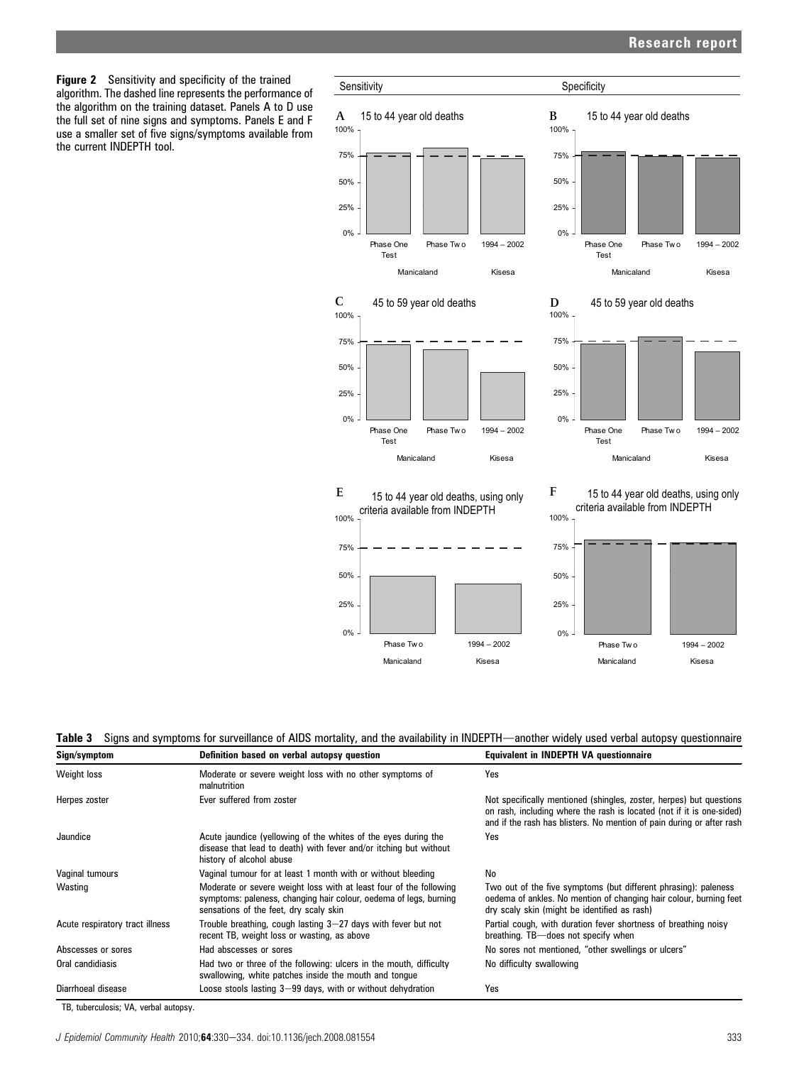# Research report

Figure 2 Sensitivity and specificity of the trained algorithm. The dashed line represents the performance of the algorithm on the training dataset. Panels A to D use the full set of nine signs and symptoms. Panels E and F use a smaller set of five signs/symptoms available from the current INDEPTH tool.



# Table 3 Signs and symptoms for surveillance of AIDS mortality, and the availability in INDEPTH—another widely used verbal autopsy questionnaire

| Sign/symptom                    | Definition based on verbal autopsy question                                                                                                                                       | <b>Equivalent in INDEPTH VA questionnaire</b>                                                                                                                                                                         |
|---------------------------------|-----------------------------------------------------------------------------------------------------------------------------------------------------------------------------------|-----------------------------------------------------------------------------------------------------------------------------------------------------------------------------------------------------------------------|
| Weight loss                     | Moderate or severe weight loss with no other symptoms of<br>malnutrition                                                                                                          | Yes                                                                                                                                                                                                                   |
| Herpes zoster                   | Ever suffered from zoster                                                                                                                                                         | Not specifically mentioned (shingles, zoster, herpes) but questions<br>on rash, including where the rash is located (not if it is one-sided)<br>and if the rash has blisters. No mention of pain during or after rash |
| Jaundice                        | Acute jaundice (yellowing of the whites of the eyes during the<br>disease that lead to death) with fever and/or itching but without<br>history of alcohol abuse                   | Yes                                                                                                                                                                                                                   |
| Vaginal tumours                 | Vaginal tumour for at least 1 month with or without bleeding                                                                                                                      | No                                                                                                                                                                                                                    |
| Wasting                         | Moderate or severe weight loss with at least four of the following<br>symptoms: paleness, changing hair colour, oedema of legs, burning<br>sensations of the feet, dry scaly skin | Two out of the five symptoms (but different phrasing): paleness<br>oedema of ankles. No mention of changing hair colour, burning feet<br>dry scaly skin (might be identified as rash)                                 |
| Acute respiratory tract illness | Trouble breathing, cough lasting 3–27 days with fever but not<br>recent TB, weight loss or wasting, as above                                                                      | Partial cough, with duration fever shortness of breathing noisy<br>breathing. TB-does not specify when                                                                                                                |
| Abscesses or sores              | Had abscesses or sores                                                                                                                                                            | No sores not mentioned, "other swellings or ulcers"                                                                                                                                                                   |
| Oral candidiasis                | Had two or three of the following: ulcers in the mouth, difficulty<br>swallowing, white patches inside the mouth and tongue                                                       | No difficulty swallowing                                                                                                                                                                                              |
| Diarrhoeal disease              | Loose stools lasting 3-99 days, with or without dehydration                                                                                                                       | Yes                                                                                                                                                                                                                   |

TB, tuberculosis; VA, verbal autopsy.